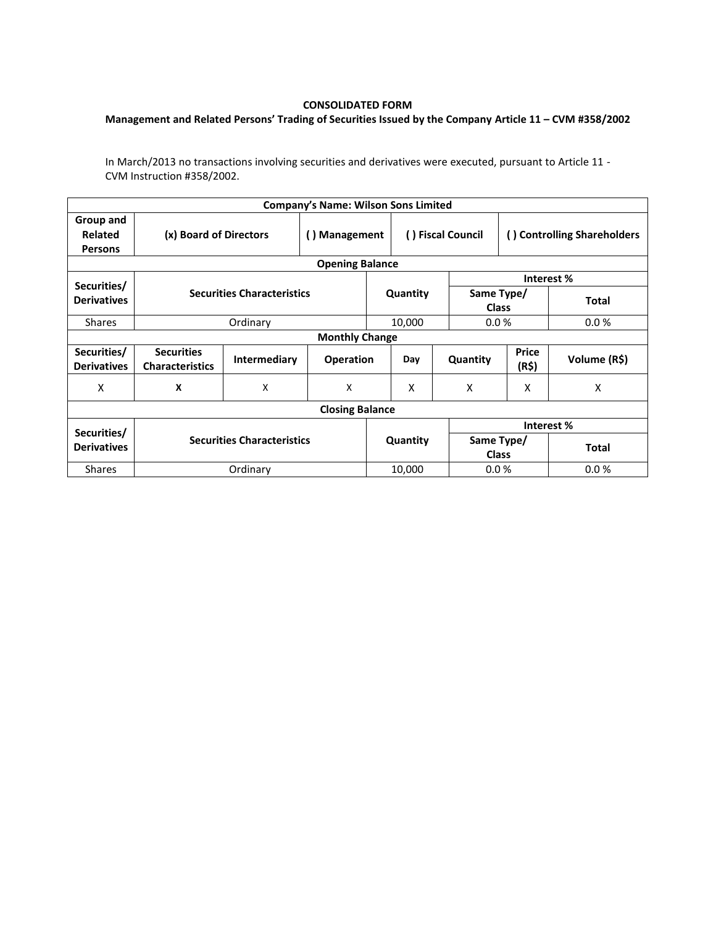## **CONSOLIDATED FORM**

## **Management and Related Persons' Trading of Securities Issued by the Company Article 11 – CVM #358/2002**

In March/2013 no transactions involving securities and derivatives were executed, pursuant to Article 11 - CVM Instruction #358/2002.

| <b>Company's Name: Wilson Sons Limited</b>    |                                             |              |                  |          |                            |                            |                             |              |  |  |  |
|-----------------------------------------------|---------------------------------------------|--------------|------------------|----------|----------------------------|----------------------------|-----------------------------|--------------|--|--|--|
| Group and<br><b>Related</b><br><b>Persons</b> | (x) Board of Directors                      |              | () Management    |          | () Fiscal Council          |                            | () Controlling Shareholders |              |  |  |  |
| <b>Opening Balance</b>                        |                                             |              |                  |          |                            |                            |                             |              |  |  |  |
| Securities/                                   |                                             |              |                  |          |                            | Interest %                 |                             |              |  |  |  |
| <b>Derivatives</b>                            | <b>Securities Characteristics</b>           |              | Quantity         |          | Same Type/<br><b>Class</b> |                            | <b>Total</b>                |              |  |  |  |
| <b>Shares</b>                                 |                                             | Ordinary     |                  |          | 10,000                     |                            | 0.0%                        | 0.0%         |  |  |  |
| <b>Monthly Change</b>                         |                                             |              |                  |          |                            |                            |                             |              |  |  |  |
| Securities/<br><b>Derivatives</b>             | <b>Securities</b><br><b>Characteristics</b> | Intermediary | <b>Operation</b> |          | Day                        | Quantity                   | Price<br>(R\$)              | Volume (R\$) |  |  |  |
| X                                             | X                                           | X            | X                |          | X                          | X                          | X                           | X            |  |  |  |
| <b>Closing Balance</b>                        |                                             |              |                  |          |                            |                            |                             |              |  |  |  |
|                                               |                                             |              |                  |          |                            | Interest %                 |                             |              |  |  |  |
| Securities/<br><b>Derivatives</b>             | <b>Securities Characteristics</b>           |              |                  | Quantity |                            | Same Type/<br><b>Class</b> |                             | <b>Total</b> |  |  |  |
| <b>Shares</b>                                 | Ordinary                                    |              |                  | 10,000   |                            | 0.0%                       |                             | 0.0%         |  |  |  |